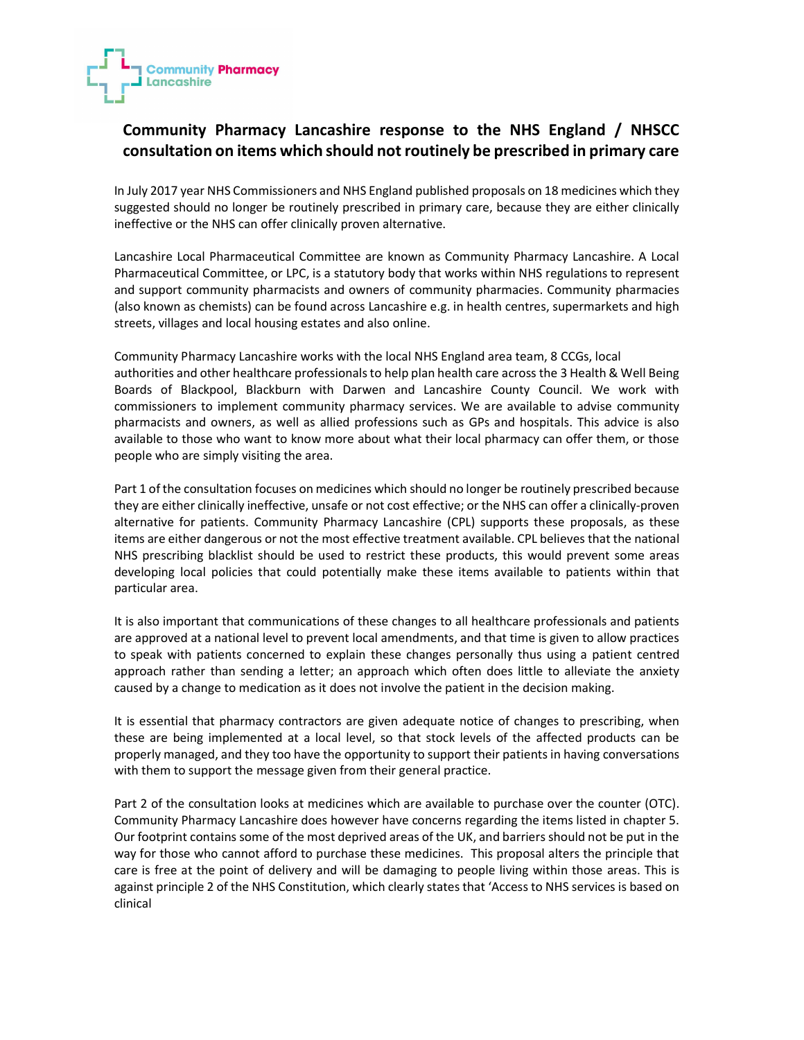

## Community Pharmacy Lancashire response to the NHS England / NHSCC consultation on items which should not routinely be prescribed in primary care

In July 2017 year NHS Commissioners and NHS England published proposals on 18 medicines which they suggested should no longer be routinely prescribed in primary care, because they are either clinically ineffective or the NHS can offer clinically proven alternative.

Lancashire Local Pharmaceutical Committee are known as Community Pharmacy Lancashire. A Local Pharmaceutical Committee, or LPC, is a statutory body that works within NHS regulations to represent and support community pharmacists and owners of community pharmacies. Community pharmacies (also known as chemists) can be found across Lancashire e.g. in health centres, supermarkets and high streets, villages and local housing estates and also online.

Community Pharmacy Lancashire works with the local NHS England area team, 8 CCGs, local authorities and other healthcare professionals to help plan health care across the 3 Health & Well Being Boards of Blackpool, Blackburn with Darwen and Lancashire County Council. We work with commissioners to implement community pharmacy services. We are available to advise community pharmacists and owners, as well as allied professions such as GPs and hospitals. This advice is also available to those who want to know more about what their local pharmacy can offer them, or those people who are simply visiting the area.

Part 1 of the consultation focuses on medicines which should no longer be routinely prescribed because they are either clinically ineffective, unsafe or not cost effective; or the NHS can offer a clinically-proven alternative for patients. Community Pharmacy Lancashire (CPL) supports these proposals, as these items are either dangerous or not the most effective treatment available. CPL believes that the national NHS prescribing blacklist should be used to restrict these products, this would prevent some areas developing local policies that could potentially make these items available to patients within that particular area.

It is also important that communications of these changes to all healthcare professionals and patients are approved at a national level to prevent local amendments, and that time is given to allow practices to speak with patients concerned to explain these changes personally thus using a patient centred approach rather than sending a letter; an approach which often does little to alleviate the anxiety caused by a change to medication as it does not involve the patient in the decision making.

It is essential that pharmacy contractors are given adequate notice of changes to prescribing, when these are being implemented at a local level, so that stock levels of the affected products can be properly managed, and they too have the opportunity to support their patients in having conversations with them to support the message given from their general practice.

Part 2 of the consultation looks at medicines which are available to purchase over the counter (OTC). Community Pharmacy Lancashire does however have concerns regarding the items listed in chapter 5. Our footprint contains some of the most deprived areas of the UK, and barriers should not be put in the way for those who cannot afford to purchase these medicines. This proposal alters the principle that care is free at the point of delivery and will be damaging to people living within those areas. This is against principle 2 of the NHS Constitution, which clearly states that 'Access to NHS services is based on clinical